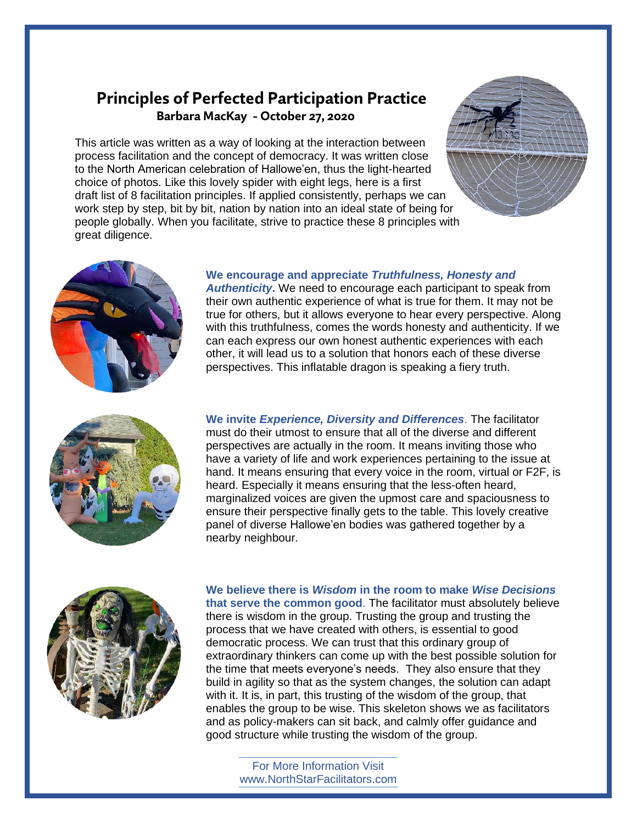## **Principles of Perfected Participation Practice Barbara MacKay - October 27, 2020**

This article was written as a way of looking at the interaction between process facilitation and the concept of democracy. It was written close to the North American celebration of Hallowe'en, thus the light-hearted choice of photos. Like this lovely spider with eight legs, here is a first draft list of 8 facilitation principles. If applied consistently, perhaps we can work step by step, bit by bit, nation by nation into an ideal state of being for people globally. When you facilitate, strive to practice these 8 principles with great diligence.





## **We encourage and appreciate** *Truthfulness, Honesty and*

*Authenticity***.** We need to encourage each participant to speak from their own authentic experience of what is true for them. It may not be true for others, but it allows everyone to hear every perspective. Along with this truthfulness, comes the words honesty and authenticity. If we can each express our own honest authentic experiences with each other, it will lead us to a solution that honors each of these diverse perspectives. This inflatable dragon is speaking a fiery truth.



**We invite** *Experience, Diversity and Differences*. The facilitator must do their utmost to ensure that all of the diverse and different perspectives are actually in the room. It means inviting those who have a variety of life and work experiences pertaining to the issue at hand. It means ensuring that every voice in the room, virtual or F2F, is heard. Especially it means ensuring that the less-often heard, marginalized voices are given the upmost care and spaciousness to ensure their perspective finally gets to the table. This lovely creative panel of diverse Hallowe'en bodies was gathered together by a nearby neighbour.



**We believe there is** *Wisdom* **in the room to make** *Wise Decisions* **that serve the common good**. The facilitator must absolutely believe there is wisdom in the group. Trusting the group and trusting the process that we have created with others, is essential to good democratic process. We can trust that this ordinary group of extraordinary thinkers can come up with the best possible solution for the time that meets everyone's needs. They also ensure that they build in agility so that as the system changes, the solution can adapt with it. It is, in part, this trusting of the wisdom of the group, that enables the group to be wise. This skeleton shows we as facilitators and as policy-makers can sit back, and calmly offer guidance and good structure while trusting the wisdom of the group.

For More Information Visit www.NorthStarFacilitators.com